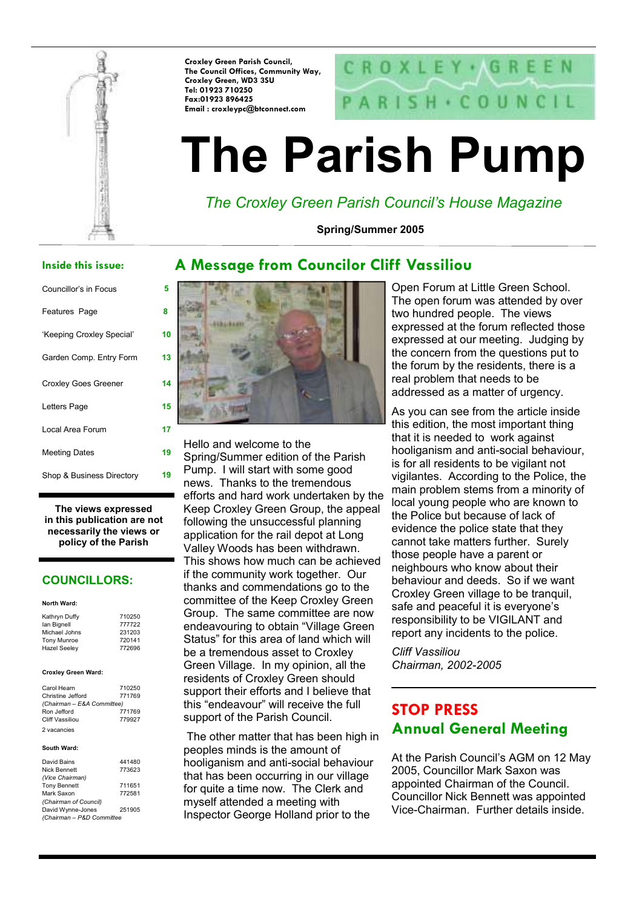

Croxley Green Parish Council, The Council Offices, Community Way, Croxley Green, WD3 3SU Tel: 01923 710250 Fax:01923 896425 Email : croxleypc@btconnect.com

# CROXLEY · AGREEN  $SH + CO UN CIL$

# The Parish Pump

The Croxley Green Parish Council's House Magazine

Spring/Summer 2005

### Inside this issue:

| Councillor's in Focus       | 5  |
|-----------------------------|----|
| Features Page               | 8  |
| 'Keeping Croxley Special'   | 10 |
| Garden Comp. Entry Form     | 13 |
| <b>Croxley Goes Greener</b> | 14 |
| Letters Page                | 15 |
| Local Area Forum            | 17 |
| <b>Meeting Dates</b>        | 19 |
| Shop & Business Directory   | 19 |

The views expressed in this publication are not necessarily the views or policy of the Parish

### COUNCILLORS:

### North Ward:

| Kathryn Duffy       | 710250 |
|---------------------|--------|
| lan Bignell         | 777722 |
| Michael Johns       | 231203 |
| <b>Tony Munroe</b>  | 720141 |
| <b>Hazel Seeley</b> | 772696 |
|                     |        |

### Croxley Green Ward:

| Carol Hearn                | 710250 |  |  |
|----------------------------|--------|--|--|
| Christine Jefford          | 771769 |  |  |
| (Chairman - E&A Committee) |        |  |  |
| Ron Jefford                | 771769 |  |  |
| Cliff Vassiliou            | 779927 |  |  |
| 2 vacancies                |        |  |  |

### South Ward:

| David Bains               | 441480 |  |  |
|---------------------------|--------|--|--|
|                           |        |  |  |
| <b>Nick Bennett</b>       | 773623 |  |  |
| (Vice Chairman)           |        |  |  |
| <b>Tony Bennett</b>       | 711651 |  |  |
| Mark Saxon                | 772581 |  |  |
| (Chairman of Council)     |        |  |  |
| David Wynne-Jones         | 251905 |  |  |
| (Chairman - P&D Committee |        |  |  |

# A Message from Councilor Cliff Vassiliou



Hello and welcome to the Spring/Summer edition of the Parish Pump. I will start with some good news. Thanks to the tremendous efforts and hard work undertaken by the Keep Croxley Green Group, the appeal following the unsuccessful planning application for the rail depot at Long Valley Woods has been withdrawn. This shows how much can be achieved if the community work together. Our thanks and commendations go to the committee of the Keep Croxley Green Group. The same committee are now endeavouring to obtain "Village Green Status" for this area of land which will be a tremendous asset to Croxley Green Village. In my opinion, all the residents of Croxley Green should support their efforts and I believe that this "endeavour" will receive the full support of the Parish Council.

 The other matter that has been high in peoples minds is the amount of hooliganism and anti-social behaviour that has been occurring in our village for quite a time now. The Clerk and myself attended a meeting with Inspector George Holland prior to the

Open Forum at Little Green School. The open forum was attended by over two hundred people. The views expressed at the forum reflected those expressed at our meeting. Judging by the concern from the questions put to the forum by the residents, there is a real problem that needs to be addressed as a matter of urgency.

As you can see from the article inside this edition, the most important thing that it is needed to work against hooliganism and anti-social behaviour, is for all residents to be vigilant not vigilantes. According to the Police, the main problem stems from a minority of local young people who are known to the Police but because of lack of evidence the police state that they cannot take matters further. Surely those people have a parent or neighbours who know about their behaviour and deeds. So if we want Croxley Green village to be tranquil, safe and peaceful it is everyone's responsibility to be VIGILANT and report any incidents to the police.

Cliff Vassiliou Chairman, 2002-2005

# STOP PRESS Annual General Meeting

At the Parish Council's AGM on 12 May 2005, Councillor Mark Saxon was appointed Chairman of the Council. Councillor Nick Bennett was appointed Vice-Chairman. Further details inside.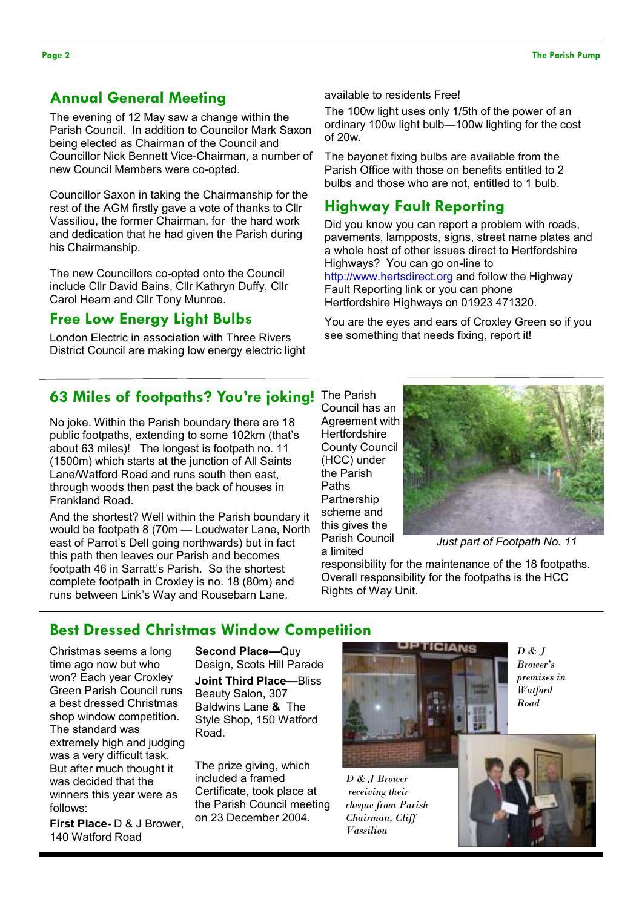# Annual General Meeting

The evening of 12 May saw a change within the Parish Council. In addition to Councilor Mark Saxon being elected as Chairman of the Council and Councillor Nick Bennett Vice-Chairman, a number of new Council Members were co-opted.

Councillor Saxon in taking the Chairmanship for the rest of the AGM firstly gave a vote of thanks to Cllr Vassiliou, the former Chairman, for the hard work and dedication that he had given the Parish during his Chairmanship.

The new Councillors co-opted onto the Council include Cllr David Bains, Cllr Kathryn Duffy, Cllr Carol Hearn and Cllr Tony Munroe.

# Free Low Energy Light Bulbs

London Electric in association with Three Rivers District Council are making low energy electric light available to residents Free!

The 100w light uses only 1/5th of the power of an ordinary 100w light bulb—100w lighting for the cost of 20w.

The bayonet fixing bulbs are available from the Parish Office with those on benefits entitled to 2 bulbs and those who are not, entitled to 1 bulb.

# Highway Fault Reporting

Did you know you can report a problem with roads, pavements, lampposts, signs, street name plates and a whole host of other issues direct to Hertfordshire Highways? You can go on-line to http://www.hertsdirect.org and follow the Highway Fault Reporting link or you can phone Hertfordshire Highways on 01923 471320.

You are the eyes and ears of Croxley Green so if you see something that needs fixing, report it!

# 63 Miles of footpaths? You're joking! The Parish

No joke. Within the Parish boundary there are 18 public footpaths, extending to some 102km (that's about 63 miles)! The longest is footpath no. 11 (1500m) which starts at the junction of All Saints Lane/Watford Road and runs south then east, through woods then past the back of houses in Frankland Road.

And the shortest? Well within the Parish boundary it would be footpath 8 (70m — Loudwater Lane, North east of Parrot's Dell going northwards) but in fact this path then leaves our Parish and becomes footpath 46 in Sarratt's Parish. So the shortest complete footpath in Croxley is no. 18 (80m) and runs between Link's Way and Rousebarn Lane.

Council has an Agreement with **Hertfordshire** County Council (HCC) under the Parish Paths **Partnership** scheme and this gives the Parish Council a limited



Just part of Footpath No. 11

responsibility for the maintenance of the 18 footpaths. Overall responsibility for the footpaths is the HCC Rights of Way Unit.

# Best Dressed Christmas Window Competition

Christmas seems a long time ago now but who won? Each year Croxley Green Parish Council runs a best dressed Christmas shop window competition. The standard was extremely high and judging was a very difficult task. But after much thought it was decided that the winners this year were as follows:

First Place- D & J Brower, 140 Watford Road

Second Place—Quy Design, Scots Hill Parade Joint Third Place—Bliss Beauty Salon, 307 Baldwins Lane & The Style Shop, 150 Watford Road.

The prize giving, which included a framed Certificate, took place at the Parish Council meeting on 23 December 2004.



D & J Brower receiving their cheque from Parish Chairman, Cliff Vassiliou

 $D & J$ Brower's premises in Watford Road

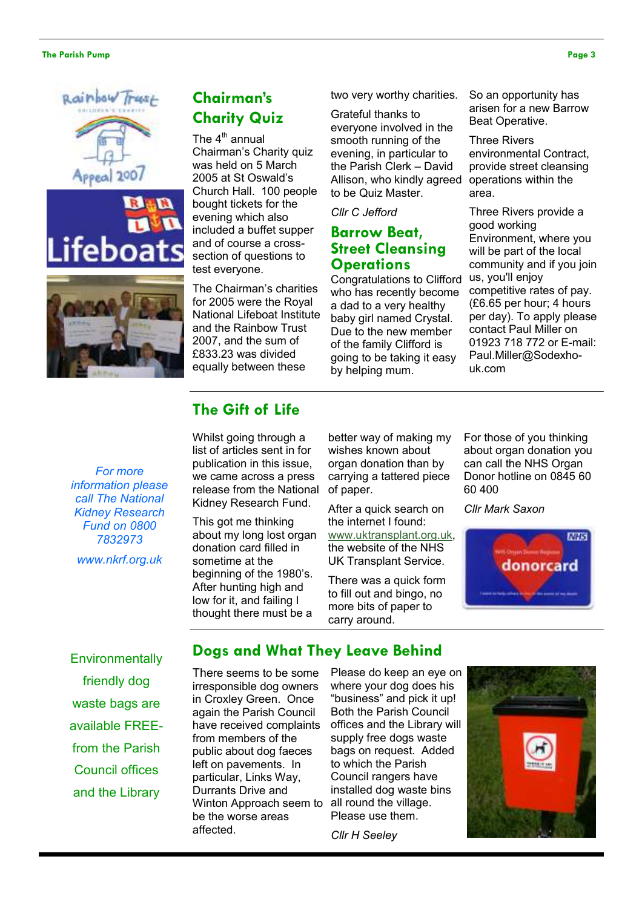### The Parish Pump Page 3







# Chairman's Charity Quiz

The  $4<sup>th</sup>$  annual Chairman's Charity quiz was held on 5 March 2005 at St Oswald's Church Hall. 100 people bought tickets for the evening which also included a buffet supper and of course a crosssection of questions to test everyone.

The Chairman's charities for 2005 were the Royal National Lifeboat Institute and the Rainbow Trust 2007, and the sum of £833.23 was divided equally between these

two very worthy charities.

Grateful thanks to everyone involved in the smooth running of the evening, in particular to the Parish Clerk – David Allison, who kindly agreed to be Quiz Master.

### Cllr C Jefford

# Barrow Beat, Street Cleansing **Operations**

Congratulations to Clifford who has recently become a dad to a very healthy baby girl named Crystal. Due to the new member of the family Clifford is going to be taking it easy by helping mum.

So an opportunity has arisen for a new Barrow Beat Operative.

Three Rivers environmental Contract, provide street cleansing operations within the area.

Three Rivers provide a good working Environment, where you will be part of the local community and if you join us, you'll enjoy competitive rates of pay. (£6.65 per hour; 4 hours per day). To apply please contact Paul Miller on 01923 718 772 or E-mail: Paul.Miller@Sodexhouk.com

For more information please call The National Kidney Research Fund on 0800 7832973

www.nkrf.org.uk

# The Gift of Life

Whilst going through a list of articles sent in for publication in this issue, we came across a press release from the National Kidney Research Fund.

This got me thinking about my long lost organ donation card filled in sometime at the beginning of the 1980's. After hunting high and low for it, and failing I thought there must be a

better way of making my wishes known about organ donation than by carrying a tattered piece of paper.

After a quick search on the internet I found: www.uktransplant.org.uk,

the website of the NHS UK Transplant Service.

There was a quick form to fill out and bingo, no more bits of paper to carry around.

For those of you thinking about organ donation you can call the NHS Organ Donor hotline on 0845 60 60 400

Cllr Mark Saxon



**Environmentally** friendly dog waste bags are available FREEfrom the Parish Council offices and the Library

# Dogs and What They Leave Behind

There seems to be some irresponsible dog owners in Croxley Green. Once again the Parish Council have received complaints from members of the public about dog faeces left on pavements. In particular, Links Way, Durrants Drive and Winton Approach seem to be the worse areas affected.

 where your dog does his Both the Parish Council Please do keep an eye on "business" and pick it up! offices and the Library will supply free dogs waste bags on request. Added to which the Parish Council rangers have installed dog waste bins all round the village. Please use them.

Cllr H Seeley

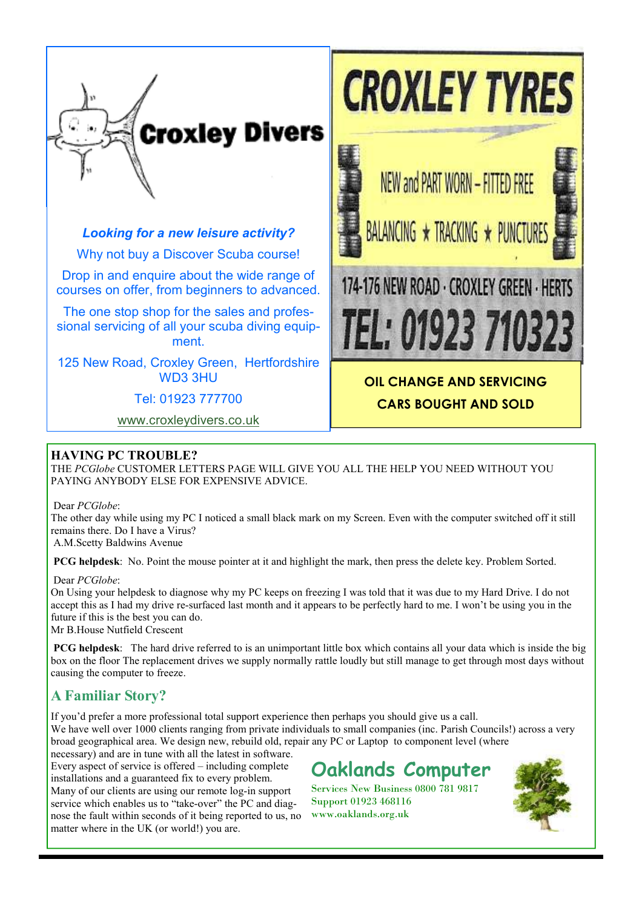

# Looking for a new leisure activity?

Why not buy a Discover Scuba course!

Drop in and enquire about the wide range of courses on offer, from beginners to advanced.

The one stop shop for the sales and professional servicing of all your scuba diving equipment.

125 New Road, Croxley Green, Hertfordshire WD3 3HU

Tel: 01923 777700

www.croxleydivers.co.uk



CARS BOUGHT AND SOLD

# HAVING PC TROUBLE?

THE PCGlobe CUSTOMER LETTERS PAGE WILL GIVE YOU ALL THE HELP YOU NEED WITHOUT YOU PAYING ANYBODY ELSE FOR EXPENSIVE ADVICE.

Dear PCGlobe:

The other day while using my PC I noticed a small black mark on my Screen. Even with the computer switched off it still remains there. Do I have a Virus?

A.M.Scetty Baldwins Avenue

PCG helpdesk: No. Point the mouse pointer at it and highlight the mark, then press the delete key. Problem Sorted.

### Dear PCGlobe:

On Using your helpdesk to diagnose why my PC keeps on freezing I was told that it was due to my Hard Drive. I do not accept this as I had my drive re-surfaced last month and it appears to be perfectly hard to me. I won't be using you in the future if this is the best you can do.

Mr B.House Nutfield Crescent

PCG helpdesk: The hard drive referred to is an unimportant little box which contains all your data which is inside the big box on the floor The replacement drives we supply normally rattle loudly but still manage to get through most days without causing the computer to freeze.

# A Familiar Story?

If you'd prefer a more professional total support experience then perhaps you should give us a call. We have well over 1000 clients ranging from private individuals to small companies (inc. Parish Councils!) across a very broad geographical area. We design new, rebuild old, repair any PC or Laptop to component level (where

necessary) and are in tune with all the latest in software. Every aspect of service is offered – including complete installations and a guaranteed fix to every problem. Many of our clients are using our remote log-in support service which enables us to "take-over" the PC and diagnose the fault within seconds of it being reported to us, no matter where in the UK (or world!) you are.

Oaklands Computer

Services New Business 0800 781 9817 Support 01923 468116 www.oaklands.org.uk

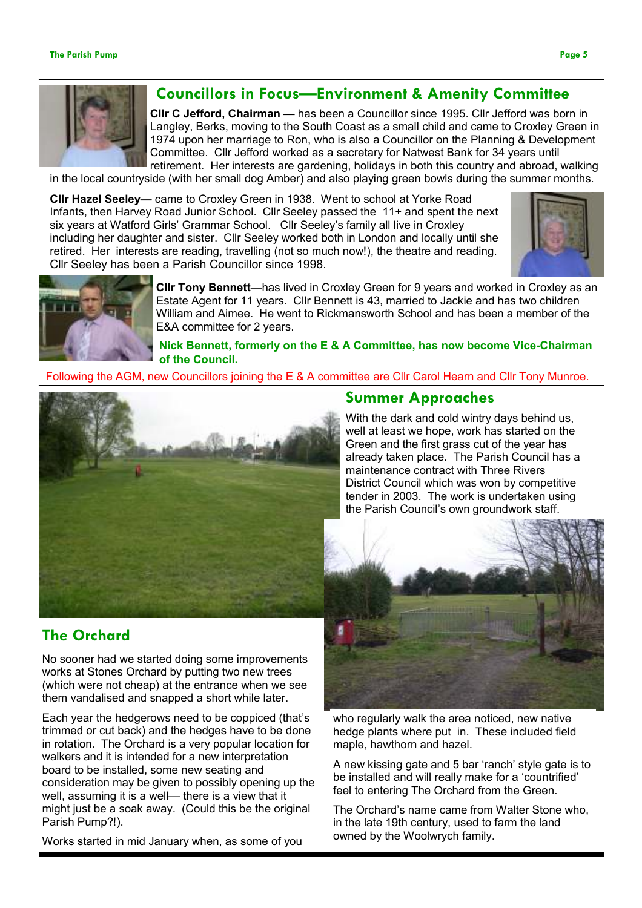### The Parish Pump Page 5



# Councillors in Focus—Environment & Amenity Committee

Cllr C Jefford, Chairman — has been a Councillor since 1995. Cllr Jefford was born in Langley, Berks, moving to the South Coast as a small child and came to Croxley Green in 1974 upon her marriage to Ron, who is also a Councillor on the Planning & Development Committee. Cllr Jefford worked as a secretary for Natwest Bank for 34 years until retirement. Her interests are gardening, holidays in both this country and abroad, walking

in the local countryside (with her small dog Amber) and also playing green bowls during the summer months.

Cllr Hazel Seeley— came to Croxley Green in 1938. Went to school at Yorke Road Infants, then Harvey Road Junior School. Cllr Seeley passed the 11+ and spent the next six years at Watford Girls' Grammar School. Cllr Seeley's family all live in Croxley including her daughter and sister. Cllr Seeley worked both in London and locally until she retired. Her interests are reading, travelling (not so much now!), the theatre and reading. Cllr Seeley has been a Parish Councillor since 1998.





Cllr Tony Bennett—has lived in Croxley Green for 9 years and worked in Croxley as an Estate Agent for 11 years. Cllr Bennett is 43, married to Jackie and has two children William and Aimee. He went to Rickmansworth School and has been a member of the E&A committee for 2 years.

Nick Bennett, formerly on the E & A Committee, has now become Vice-Chairman of the Council.

Following the AGM, new Councillors joining the E & A committee are Cllr Carol Hearn and Cllr Tony Munroe.



# Summer Approaches

With the dark and cold wintry days behind us, well at least we hope, work has started on the Green and the first grass cut of the year has already taken place. The Parish Council has a maintenance contract with Three Rivers District Council which was won by competitive tender in 2003. The work is undertaken using the Parish Council's own groundwork staff.

# The Orchard

No sooner had we started doing some improvements works at Stones Orchard by putting two new trees (which were not cheap) at the entrance when we see them vandalised and snapped a short while later.

Each year the hedgerows need to be coppiced (that's trimmed or cut back) and the hedges have to be done in rotation. The Orchard is a very popular location for walkers and it is intended for a new interpretation board to be installed, some new seating and consideration may be given to possibly opening up the well, assuming it is a well— there is a view that it might just be a soak away. (Could this be the original Parish Pump?!).

Works started in mid January when, as some of you



who regularly walk the area noticed, new native hedge plants where put in. These included field maple, hawthorn and hazel.

A new kissing gate and 5 bar 'ranch' style gate is to be installed and will really make for a 'countrified' feel to entering The Orchard from the Green.

The Orchard's name came from Walter Stone who, in the late 19th century, used to farm the land owned by the Woolwrych family.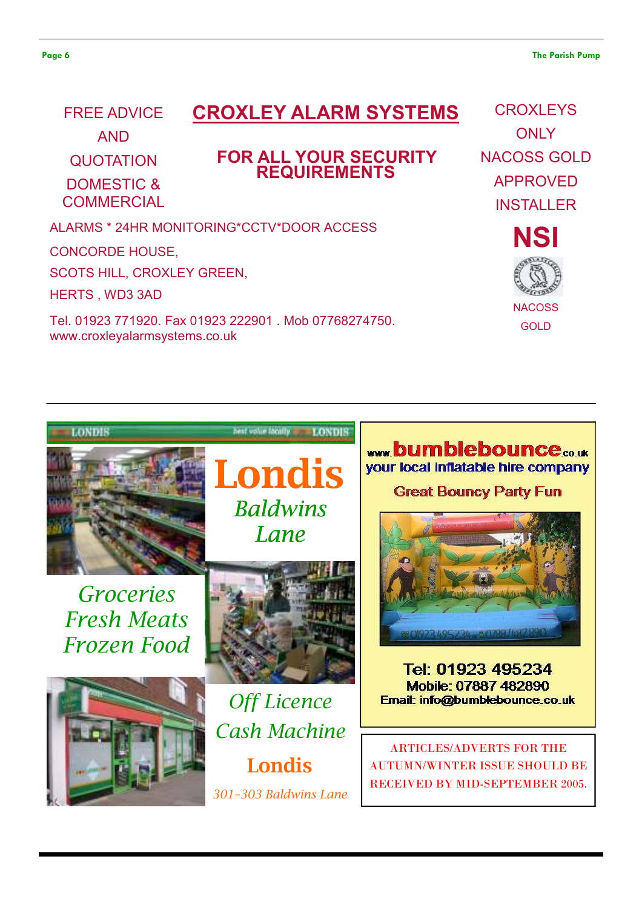# CROXLEY ALARM SYSTEMS

FOR ALL YOUR SECURITY REQUIREMENTS

LONDIS

AND

FREE ADVICE

QUOTATION

DOMESTIC & **COMMERCIAL** 

ALARMS \* 24HR MONITORING\*CCTV\*DOOR ACCESS

CONCORDE HOUSE,

SCOTS HILL, CROXLEY GREEN,

HERTS , WD3 3AD

LONDIS

Tel. 01923 771920. Fax 01923 222901 . Mob 07768274750. www.croxleyalarmsystems.co.uk

**CROXLEYS ONLY** NACOSS GOLD APPROVED INSTALLER

> **NSI NACOSS GOLD**



RECEIVED BY MID-SEPTEMBER 2005.

ww.bumblebounce.co.uk vour local inflatable hire company

**Great Bouncy Party Fun** 

Londis

301–303 Baldwins Lane

Londis

nest volumincally t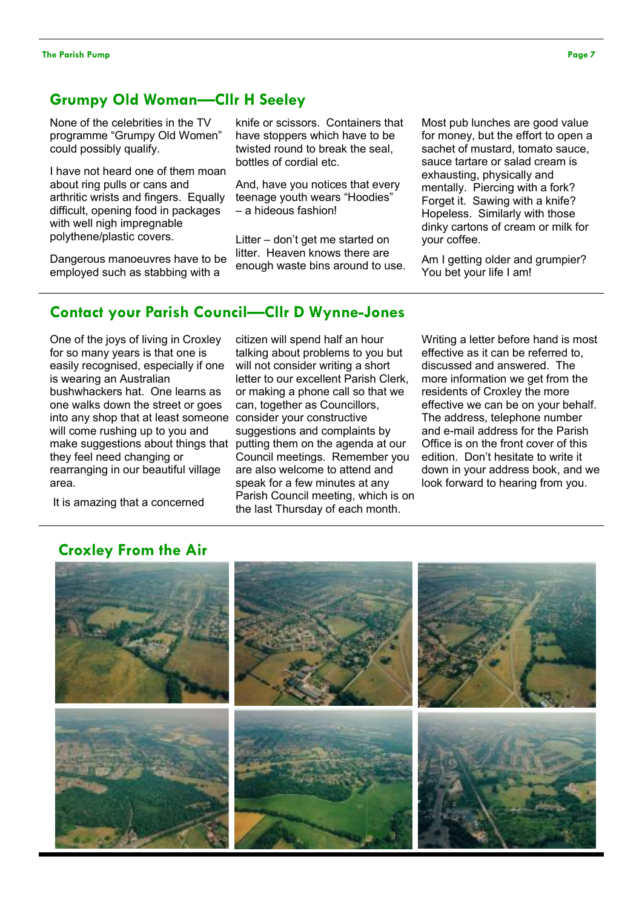# Grumpy Old Woman—Cllr H Seeley

None of the celebrities in the TV programme "Grumpy Old Women" could possibly qualify.

I have not heard one of them moan about ring pulls or cans and arthritic wrists and fingers. Equally difficult, opening food in packages with well nigh impregnable polythene/plastic covers.

Dangerous manoeuvres have to be employed such as stabbing with a

knife or scissors. Containers that have stoppers which have to be twisted round to break the seal, bottles of cordial etc.

And, have you notices that every teenage youth wears "Hoodies" – a hideous fashion!

Litter – don't get me started on litter. Heaven knows there are enough waste bins around to use. Most pub lunches are good value for money, but the effort to open a sachet of mustard, tomato sauce, sauce tartare or salad cream is exhausting, physically and mentally. Piercing with a fork? Forget it. Sawing with a knife? Hopeless. Similarly with those dinky cartons of cream or milk for your coffee.

Am I getting older and grumpier? You bet your life I am!

# Contact your Parish Council—Cllr D Wynne-Jones

One of the joys of living in Croxley for so many years is that one is easily recognised, especially if one is wearing an Australian bushwhackers hat. One learns as one walks down the street or goes into any shop that at least someone will come rushing up to you and make suggestions about things that putting them on the agenda at our they feel need changing or rearranging in our beautiful village area.

It is amazing that a concerned

citizen will spend half an hour talking about problems to you but will not consider writing a short letter to our excellent Parish Clerk, or making a phone call so that we can, together as Councillors, consider your constructive suggestions and complaints by Council meetings. Remember you are also welcome to attend and speak for a few minutes at any Parish Council meeting, which is on the last Thursday of each month.

Writing a letter before hand is most effective as it can be referred to, discussed and answered. The more information we get from the residents of Croxley the more effective we can be on your behalf. The address, telephone number and e-mail address for the Parish Office is on the front cover of this edition. Don't hesitate to write it down in your address book, and we look forward to hearing from you.

# Croxley From the Air

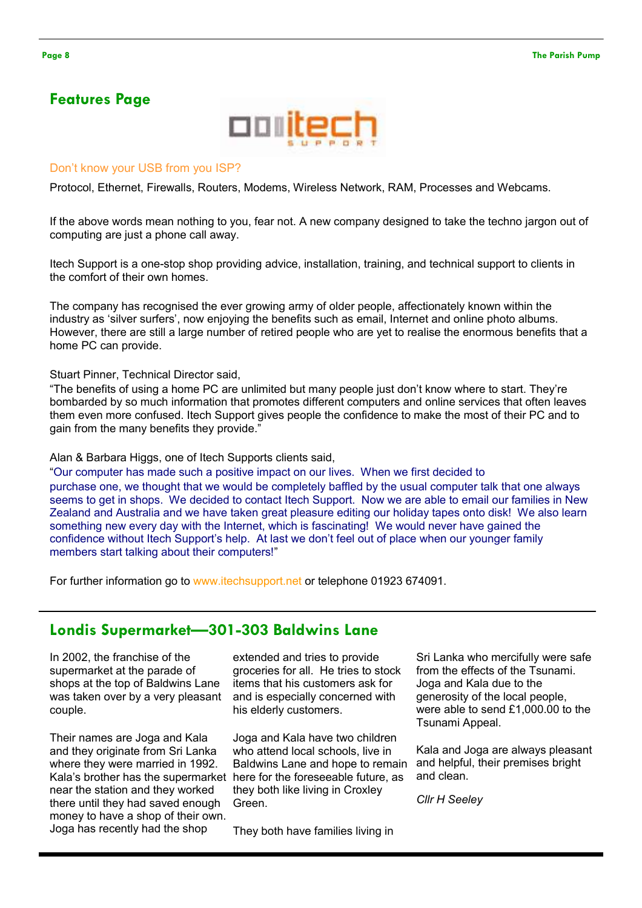# Features Page



### Don't know your USB from you ISP?

Protocol, Ethernet, Firewalls, Routers, Modems, Wireless Network, RAM, Processes and Webcams.

If the above words mean nothing to you, fear not. A new company designed to take the techno jargon out of computing are just a phone call away.

Itech Support is a one-stop shop providing advice, installation, training, and technical support to clients in the comfort of their own homes.

The company has recognised the ever growing army of older people, affectionately known within the industry as 'silver surfers', now enjoying the benefits such as email, Internet and online photo albums. However, there are still a large number of retired people who are yet to realise the enormous benefits that a home PC can provide.

Stuart Pinner, Technical Director said,

"The benefits of using a home PC are unlimited but many people just don't know where to start. They're bombarded by so much information that promotes different computers and online services that often leaves them even more confused. Itech Support gives people the confidence to make the most of their PC and to gain from the many benefits they provide."

Alan & Barbara Higgs, one of Itech Supports clients said,

"Our computer has made such a positive impact on our lives. When we first decided to purchase one, we thought that we would be completely baffled by the usual computer talk that one always seems to get in shops. We decided to contact Itech Support. Now we are able to email our families in New Zealand and Australia and we have taken great pleasure editing our holiday tapes onto disk! We also learn something new every day with the Internet, which is fascinating! We would never have gained the confidence without Itech Support's help. At last we don't feel out of place when our younger family members start talking about their computers!"

For further information go to www.itechsupport.net or telephone 01923 674091.

# Londis Supermarket—301-303 Baldwins Lane

In 2002, the franchise of the supermarket at the parade of shops at the top of Baldwins Lane was taken over by a very pleasant couple.

Their names are Joga and Kala and they originate from Sri Lanka where they were married in 1992. Kala's brother has the supermarket here for the foreseeable future, as near the station and they worked there until they had saved enough money to have a shop of their own. Joga has recently had the shop

extended and tries to provide groceries for all. He tries to stock items that his customers ask for and is especially concerned with his elderly customers.

Joga and Kala have two children who attend local schools, live in Baldwins Lane and hope to remain they both like living in Croxley Green.

They both have families living in

Sri Lanka who mercifully were safe from the effects of the Tsunami. Joga and Kala due to the generosity of the local people, were able to send £1,000.00 to the Tsunami Appeal.

Kala and Joga are always pleasant and helpful, their premises bright and clean.

Cllr H Seeley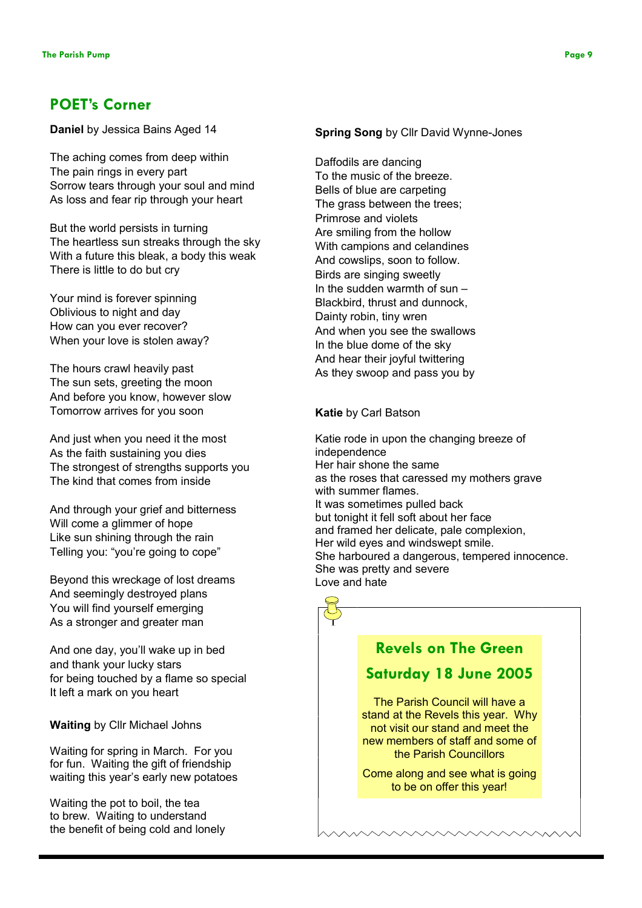# POET's Corner

Daniel by Jessica Bains Aged 14

The aching comes from deep within The pain rings in every part Sorrow tears through your soul and mind As loss and fear rip through your heart

But the world persists in turning The heartless sun streaks through the sky With a future this bleak, a body this weak There is little to do but cry

Your mind is forever spinning Oblivious to night and day How can you ever recover? When your love is stolen away?

The hours crawl heavily past The sun sets, greeting the moon And before you know, however slow Tomorrow arrives for you soon

And just when you need it the most As the faith sustaining you dies The strongest of strengths supports you The kind that comes from inside

And through your grief and bitterness Will come a glimmer of hope Like sun shining through the rain Telling you: "you're going to cope"

Beyond this wreckage of lost dreams And seemingly destroyed plans You will find yourself emerging As a stronger and greater man

And one day, you'll wake up in bed and thank your lucky stars for being touched by a flame so special It left a mark on you heart

Waiting by Cllr Michael Johns

Waiting for spring in March. For you for fun. Waiting the gift of friendship waiting this year's early new potatoes

Waiting the pot to boil, the tea to brew. Waiting to understand the benefit of being cold and lonely

### Spring Song by Cllr David Wynne-Jones

Daffodils are dancing To the music of the breeze. Bells of blue are carpeting The grass between the trees; Primrose and violets Are smiling from the hollow With campions and celandines And cowslips, soon to follow. Birds are singing sweetly In the sudden warmth of sun – Blackbird, thrust and dunnock, Dainty robin, tiny wren And when you see the swallows In the blue dome of the sky And hear their joyful twittering As they swoop and pass you by

### Katie by Carl Batson

Katie rode in upon the changing breeze of independence Her hair shone the same as the roses that caressed my mothers grave with summer flames. It was sometimes pulled back but tonight it fell soft about her face and framed her delicate, pale complexion, Her wild eyes and windswept smile. She harboured a dangerous, tempered innocence. She was pretty and severe Love and hate

# Revels on The Green

# Saturday 18 June 2005

The Parish Council will have a stand at the Revels this year. Why not visit our stand and meet the new members of staff and some of the Parish Councillors

Come along and see what is going to be on offer this year!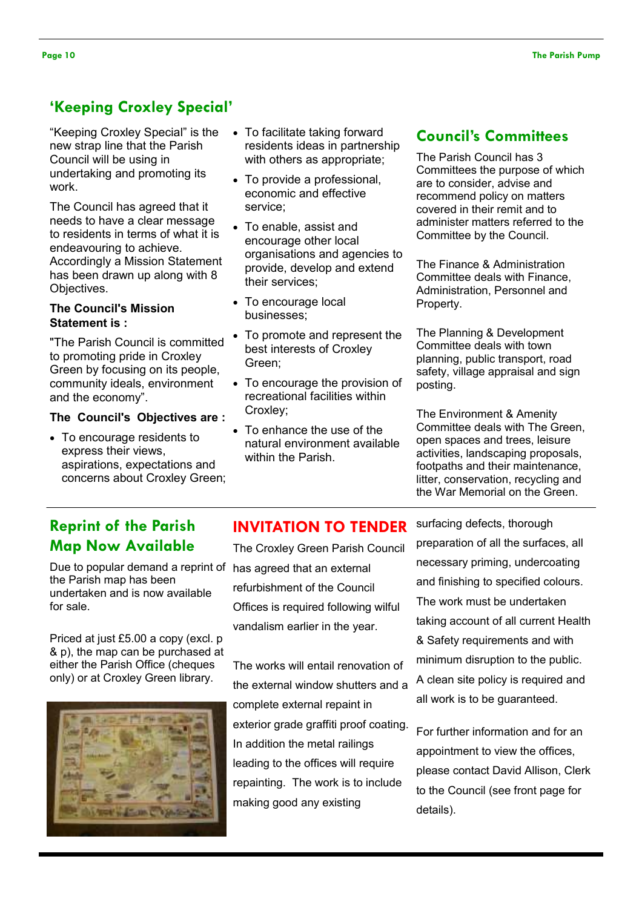# 'Keeping Croxley Special'

"Keeping Croxley Special" is the new strap line that the Parish Council will be using in undertaking and promoting its work.

The Council has agreed that it needs to have a clear message to residents in terms of what it is endeavouring to achieve. Accordingly a Mission Statement has been drawn up along with 8 Objectives.

### The Council's Mission Statement is :

"The Parish Council is committed to promoting pride in Croxley Green by focusing on its people, community ideals, environment and the economy".

### The Council's Objectives are :

• To encourage residents to express their views, aspirations, expectations and concerns about Croxley Green;

- To facilitate taking forward residents ideas in partnership with others as appropriate;
- To provide a professional, economic and effective service;
- To enable, assist and encourage other local organisations and agencies to provide, develop and extend their services;
- To encourage local businesses;
- To promote and represent the best interests of Croxley Green;
- To encourage the provision of recreational facilities within Croxley;
- To enhance the use of the natural environment available within the Parish.

# Council's Committees

The Parish Council has 3 Committees the purpose of which are to consider, advise and recommend policy on matters covered in their remit and to administer matters referred to the Committee by the Council.

The Finance & Administration Committee deals with Finance, Administration, Personnel and Property.

The Planning & Development Committee deals with town planning, public transport, road safety, village appraisal and sign posting.

The Environment & Amenity Committee deals with The Green, open spaces and trees, leisure activities, landscaping proposals, footpaths and their maintenance, litter, conservation, recycling and the War Memorial on the Green.

# Reprint of the Parish Map Now Available

Due to popular demand a reprint of has agreed that an external the Parish map has been undertaken and is now available for sale.

Priced at just £5.00 a copy (excl. p & p), the map can be purchased at either the Parish Office (cheques only) or at Croxley Green library.



# INVITATION TO TENDER

The Croxley Green Parish Council refurbishment of the Council Offices is required following wilful vandalism earlier in the year.

The works will entail renovation of the external window shutters and a complete external repaint in exterior grade graffiti proof coating. In addition the metal railings leading to the offices will require repainting. The work is to include making good any existing

surfacing defects, thorough preparation of all the surfaces, all necessary priming, undercoating and finishing to specified colours. The work must be undertaken taking account of all current Health & Safety requirements and with minimum disruption to the public. A clean site policy is required and all work is to be guaranteed.

For further information and for an appointment to view the offices, please contact David Allison, Clerk to the Council (see front page for details).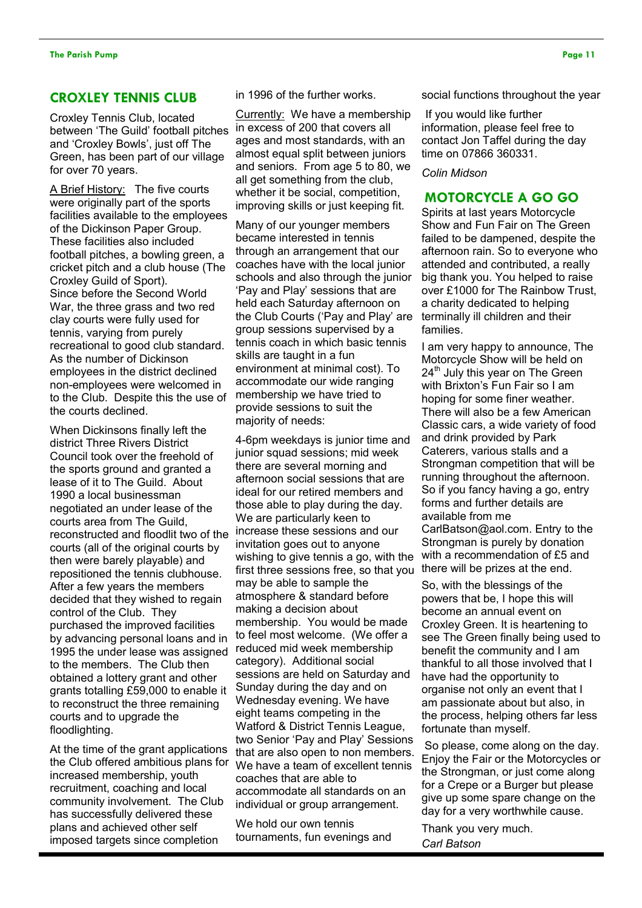### CROXLEY TENNIS CLUB

Croxley Tennis Club, located between 'The Guild' football pitches and 'Croxley Bowls', just off The Green, has been part of our village for over 70 years.

A Brief History: The five courts were originally part of the sports facilities available to the employees of the Dickinson Paper Group. These facilities also included football pitches, a bowling green, a cricket pitch and a club house (The Croxley Guild of Sport). Since before the Second World War, the three grass and two red clay courts were fully used for tennis, varying from purely recreational to good club standard. As the number of Dickinson employees in the district declined non-employees were welcomed in to the Club. Despite this the use of the courts declined.

When Dickinsons finally left the district Three Rivers District Council took over the freehold of the sports ground and granted a lease of it to The Guild. About 1990 a local businessman negotiated an under lease of the courts area from The Guild, reconstructed and floodlit two of the courts (all of the original courts by then were barely playable) and repositioned the tennis clubhouse. After a few years the members decided that they wished to regain control of the Club. They purchased the improved facilities by advancing personal loans and in 1995 the under lease was assigned to the members. The Club then obtained a lottery grant and other grants totalling £59,000 to enable it to reconstruct the three remaining courts and to upgrade the floodlighting.

At the time of the grant applications the Club offered ambitious plans for increased membership, youth recruitment, coaching and local community involvement. The Club has successfully delivered these plans and achieved other self imposed targets since completion

in 1996 of the further works.

Currently: We have a membership in excess of 200 that covers all ages and most standards, with an almost equal split between juniors and seniors. From age 5 to 80, we all get something from the club, whether it be social, competition, improving skills or just keeping fit.

Many of our younger members became interested in tennis through an arrangement that our coaches have with the local junior schools and also through the junior 'Pay and Play' sessions that are held each Saturday afternoon on the Club Courts ('Pay and Play' are group sessions supervised by a tennis coach in which basic tennis skills are taught in a fun environment at minimal cost). To accommodate our wide ranging membership we have tried to provide sessions to suit the majority of needs:

4-6pm weekdays is junior time and junior squad sessions; mid week there are several morning and afternoon social sessions that are ideal for our retired members and those able to play during the day. We are particularly keen to increase these sessions and our invitation goes out to anyone wishing to give tennis a go, with the first three sessions free, so that you may be able to sample the atmosphere & standard before making a decision about membership. You would be made to feel most welcome. (We offer a reduced mid week membership category). Additional social sessions are held on Saturday and Sunday during the day and on Wednesday evening. We have eight teams competing in the Watford & District Tennis League, two Senior 'Pay and Play' Sessions that are also open to non members. We have a team of excellent tennis coaches that are able to accommodate all standards on an individual or group arrangement.

We hold our own tennis tournaments, fun evenings and social functions throughout the year

If you would like further information, please feel free to contact Jon Taffel during the day time on 07866 360331.

### Colin Midson

### MOTORCYCLE A GO GO

Spirits at last years Motorcycle Show and Fun Fair on The Green failed to be dampened, despite the afternoon rain. So to everyone who attended and contributed, a really big thank you. You helped to raise over £1000 for The Rainbow Trust, a charity dedicated to helping terminally ill children and their families.

I am very happy to announce, The Motorcycle Show will be held on 24<sup>th</sup> July this year on The Green with Brixton's Fun Fair so I am hoping for some finer weather. There will also be a few American Classic cars, a wide variety of food and drink provided by Park Caterers, various stalls and a Strongman competition that will be running throughout the afternoon. So if you fancy having a go, entry forms and further details are available from me CarlBatson@aol.com. Entry to the Strongman is purely by donation with a recommendation of £5 and there will be prizes at the end.

So, with the blessings of the powers that be, I hope this will become an annual event on Croxley Green. It is heartening to see The Green finally being used to benefit the community and I am thankful to all those involved that I have had the opportunity to organise not only an event that I am passionate about but also, in the process, helping others far less fortunate than myself.

 So please, come along on the day. Enjoy the Fair or the Motorcycles or the Strongman, or just come along for a Crepe or a Burger but please give up some spare change on the day for a very worthwhile cause.

Thank you very much. Carl Batson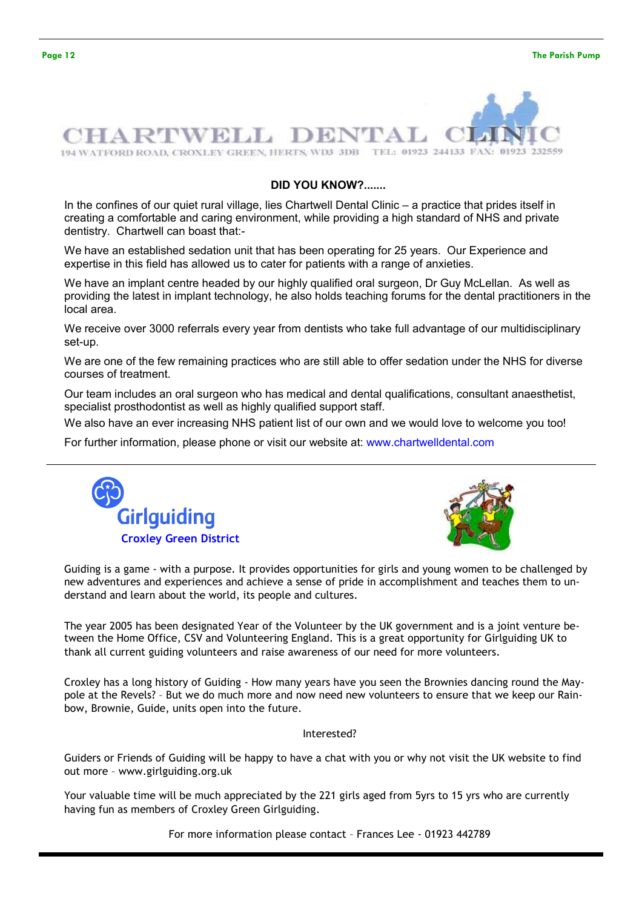

### DID YOU KNOW?.......

In the confines of our quiet rural village, lies Chartwell Dental Clinic – a practice that prides itself in creating a comfortable and caring environment, while providing a high standard of NHS and private dentistry. Chartwell can boast that:-

We have an established sedation unit that has been operating for 25 years. Our Experience and expertise in this field has allowed us to cater for patients with a range of anxieties.

We have an implant centre headed by our highly qualified oral surgeon, Dr Guy McLellan. As well as providing the latest in implant technology, he also holds teaching forums for the dental practitioners in the local area.

We receive over 3000 referrals every year from dentists who take full advantage of our multidisciplinary set-up.

We are one of the few remaining practices who are still able to offer sedation under the NHS for diverse courses of treatment.

Our team includes an oral surgeon who has medical and dental qualifications, consultant anaesthetist, specialist prosthodontist as well as highly qualified support staff.

We also have an ever increasing NHS patient list of our own and we would love to welcome you too!

For further information, please phone or visit our website at: www.chartwelldental.com





Guiding is a game - with a purpose. It provides opportunities for girls and young women to be challenged by new adventures and experiences and achieve a sense of pride in accomplishment and teaches them to understand and learn about the world, its people and cultures.

The year 2005 has been designated Year of the Volunteer by the UK government and is a joint venture between the Home Office, CSV and Volunteering England. This is a great opportunity for Girlguiding UK to thank all current guiding volunteers and raise awareness of our need for more volunteers.

Croxley has a long history of Guiding - How many years have you seen the Brownies dancing round the Maypole at the Revels? – But we do much more and now need new volunteers to ensure that we keep our Rainbow, Brownie, Guide, units open into the future.

Interested?

Guiders or Friends of Guiding will be happy to have a chat with you or why not visit the UK website to find out more – www.girlguiding.org.uk

Your valuable time will be much appreciated by the 221 girls aged from 5yrs to 15 yrs who are currently having fun as members of Croxley Green Girlguiding.

For more information please contact – Frances Lee - 01923 442789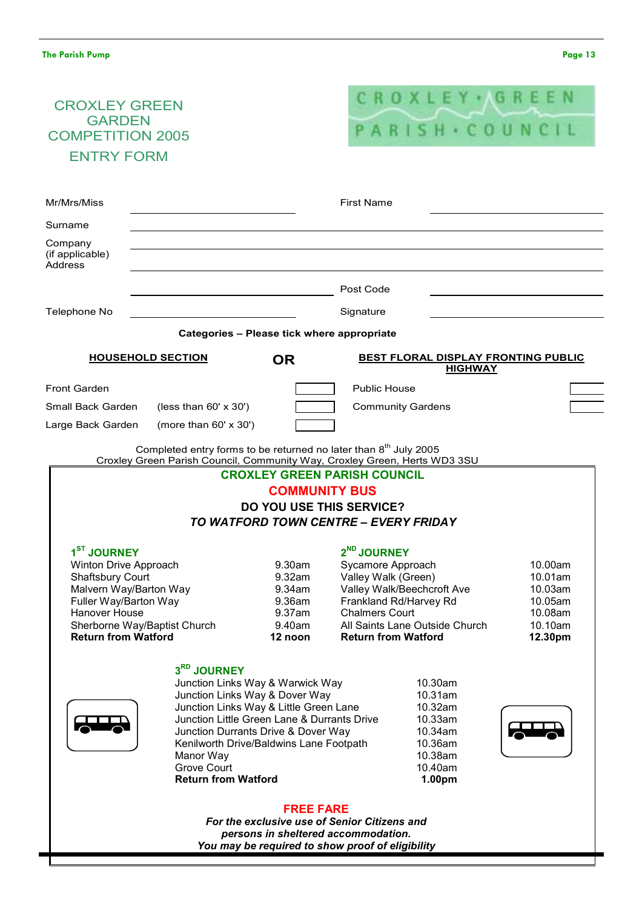# CROXLEY GREEN **GARDEN** COMPETITION 2005 ENTRY FORM



CROXLEY GREEN PARISH COUNCIL COMMUNITY BUS DO YOU USE THIS SERVICE? TO WATFORD TOWN CENTRE – EVERY FRIDAY 1 ST JOURNEY 2 2<sup>ND</sup> JOURNEY<br>Svcamore Approach Winton Drive Approach 9.30am Sycamore Approach 10.00am<br>Shaftsbury Court 9.32am Valley Walk (Green) 9.32am Valley Walk (Green) 10.01am<br>9.34am Valley Walk/Beechcroft Ave 10.03am Malvern Way/Barton Way 9.34am Valley Walk/Beechcroft Ave 10.03am Frankland Rd/Harvey Rd Hanover House 9.37am Chalmers Court 10.08am Sherborne Way/Baptist Church 9.40am All Saints Lane Outside Church 10.10am Return from Watford 12 noon Return from Watford 12.30pm3<sup>RD</sup> JOURNEY Junction Links Way & Warwick Way 10.30am Junction Links Way & Dover Way 10.31am Junction Links Way & Little Green Lane 10.32am Junction Little Green Lane & Durrants Drive 10.33am Junction Durrants Drive & Dover Way 10.34am<br>Kenilworth Drive/Baldwins Lane Footpath 10.36am Kenilworth Drive/Baldwins Lane Footpath Manor Way **10.38am** Grove Court **10.40am** Return from Watford 1.00pm FREE FARE For the exclusive use of Senior Citizens and persons in sheltered accommodation. You may be required to show proof of eligibility Ξ Mr/Mrs/Miss First Name Surname Company (if applicable) Address Post Code Telephone No Communication of the Signature Signature Categories – Please tick where appropriate HOUSEHOLD SECTION **OR BEST FLORAL DISPLAY FRONTING PUBLIC** HIGHWAY Front Garden **Public House** Small Back Garden  $(less than 60' x 30')$  Community Gardens  $\overline{a}$ Large Back Garden (more than 60' x 30') Completed entry forms to be returned no later than  $8<sup>th</sup>$  July 2005 Croxley Green Parish Council, Community Way, Croxley Green, Herts WD3 3SU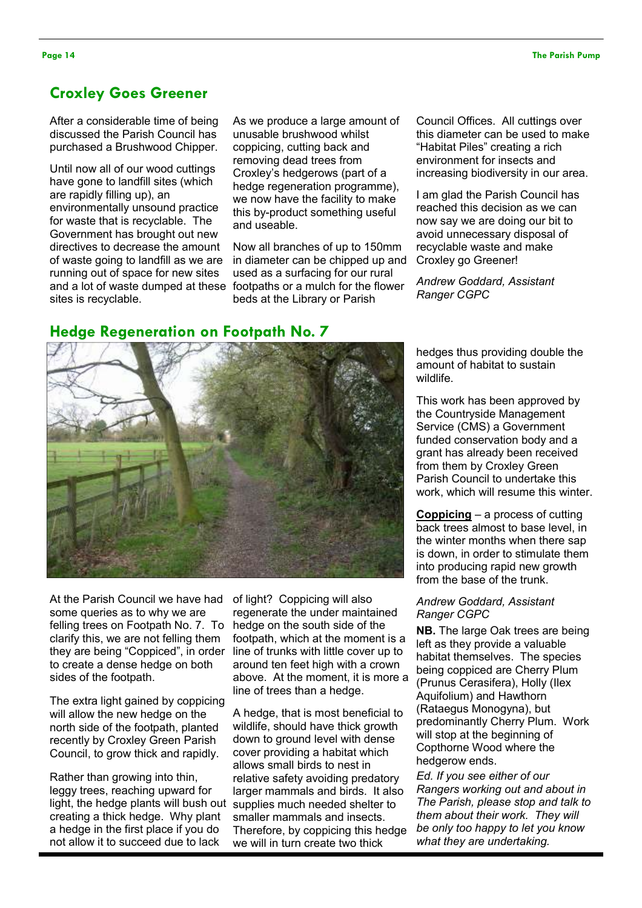# Croxley Goes Greener

After a considerable time of being discussed the Parish Council has purchased a Brushwood Chipper.

Until now all of our wood cuttings have gone to landfill sites (which are rapidly filling up), an environmentally unsound practice for waste that is recyclable. The Government has brought out new directives to decrease the amount of waste going to landfill as we are running out of space for new sites sites is recyclable.

As we produce a large amount of unusable brushwood whilst coppicing, cutting back and removing dead trees from Croxley's hedgerows (part of a hedge regeneration programme). we now have the facility to make this by-product something useful and useable.

and a lot of waste dumped at these footpaths or a mulch for the flower Now all branches of up to 150mm in diameter can be chipped up and used as a surfacing for our rural beds at the Library or Parish

Council Offices. All cuttings over this diameter can be used to make "Habitat Piles" creating a rich environment for insects and increasing biodiversity in our area.

I am glad the Parish Council has reached this decision as we can now say we are doing our bit to avoid unnecessary disposal of recyclable waste and make Croxley go Greener!

Andrew Goddard, Assistant Ranger CGPC

# Hedge Regeneration on Footpath No. 7



At the Parish Council we have had some queries as to why we are felling trees on Footpath No. 7. To clarify this, we are not felling them they are being "Coppiced", in order to create a dense hedge on both sides of the footpath.

The extra light gained by coppicing will allow the new hedge on the north side of the footpath, planted recently by Croxley Green Parish Council, to grow thick and rapidly.

Rather than growing into thin, leggy trees, reaching upward for light, the hedge plants will bush out creating a thick hedge. Why plant a hedge in the first place if you do not allow it to succeed due to lack

of light? Coppicing will also regenerate the under maintained hedge on the south side of the footpath, which at the moment is a line of trunks with little cover up to around ten feet high with a crown above. At the moment, it is more a line of trees than a hedge.

A hedge, that is most beneficial to wildlife, should have thick growth down to ground level with dense cover providing a habitat which allows small birds to nest in relative safety avoiding predatory larger mammals and birds. It also supplies much needed shelter to smaller mammals and insects. Therefore, by coppicing this hedge we will in turn create two thick

hedges thus providing double the amount of habitat to sustain wildlife.

This work has been approved by the Countryside Management Service (CMS) a Government funded conservation body and a grant has already been received from them by Croxley Green Parish Council to undertake this work, which will resume this winter.

Coppicing – a process of cutting back trees almost to base level, in the winter months when there sap is down, in order to stimulate them into producing rapid new growth from the base of the trunk.

### Andrew Goddard, Assistant Ranger CGPC

NB. The large Oak trees are being left as they provide a valuable habitat themselves. The species being coppiced are Cherry Plum (Prunus Cerasifera), Holly (Ilex Aquifolium) and Hawthorn (Rataegus Monogyna), but predominantly Cherry Plum. Work will stop at the beginning of Copthorne Wood where the hedgerow ends.

Ed. If you see either of our Rangers working out and about in The Parish, please stop and talk to them about their work. They will be only too happy to let you know what they are undertaking.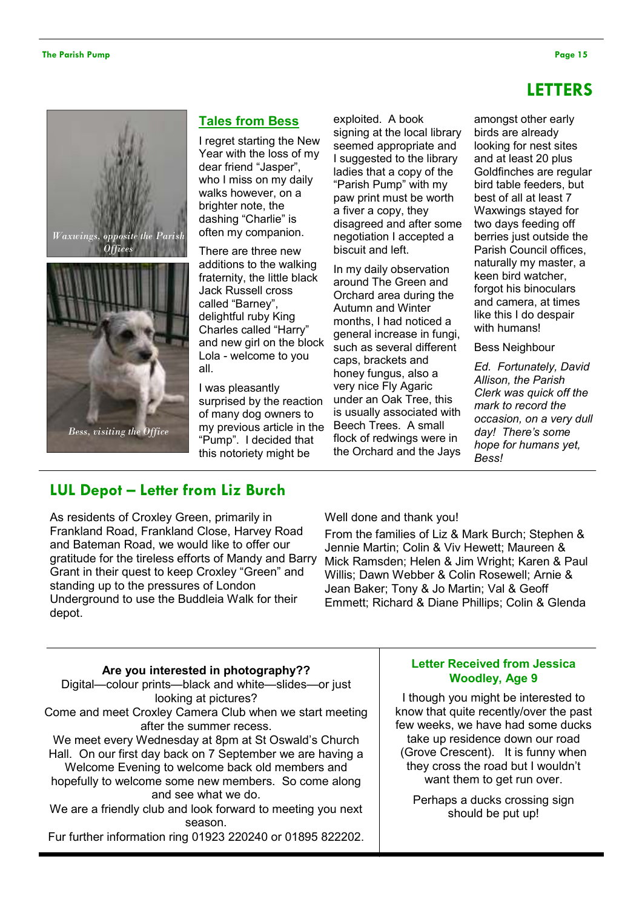# LETTERS





### Tales from Bess

I regret starting the New Year with the loss of my dear friend "Jasper", who I miss on my daily walks however, on a brighter note, the dashing "Charlie" is often my companion.

There are three new additions to the walking fraternity, the little black Jack Russell cross called "Barney", delightful ruby King Charles called "Harry" and new girl on the block Lola - welcome to you all.

I was pleasantly surprised by the reaction of many dog owners to my previous article in the "Pump". I decided that this notoriety might be

exploited. A book signing at the local library seemed appropriate and I suggested to the library ladies that a copy of the "Parish Pump" with my paw print must be worth a fiver a copy, they disagreed and after some negotiation I accepted a biscuit and left.

In my daily observation around The Green and Orchard area during the Autumn and Winter months, I had noticed a general increase in fungi, such as several different caps, brackets and honey fungus, also a very nice Fly Agaric under an Oak Tree, this is usually associated with Beech Trees. A small flock of redwings were in the Orchard and the Jays

amongst other early birds are already looking for nest sites and at least 20 plus Goldfinches are regular bird table feeders, but best of all at least 7 Waxwings stayed for two days feeding off berries just outside the Parish Council offices, naturally my master, a keen bird watcher, forgot his binoculars and camera, at times like this I do despair with humans!

Bess Neighbour

Ed. Fortunately, David Allison, the Parish Clerk was quick off the mark to record the occasion, on a very dull day! There's some hope for humans yet, Bess!

# LUL Depot – Letter from Liz Burch

As residents of Croxley Green, primarily in Frankland Road, Frankland Close, Harvey Road and Bateman Road, we would like to offer our gratitude for the tireless efforts of Mandy and Barry Grant in their quest to keep Croxley "Green" and standing up to the pressures of London Underground to use the Buddleia Walk for their depot.

Well done and thank you!

From the families of Liz & Mark Burch; Stephen & Jennie Martin; Colin & Viv Hewett; Maureen & Mick Ramsden; Helen & Jim Wright; Karen & Paul Willis; Dawn Webber & Colin Rosewell; Arnie & Jean Baker; Tony & Jo Martin; Val & Geoff Emmett; Richard & Diane Phillips; Colin & Glenda

## Are you interested in photography?? Digital—colour prints—black and white—slides—or just looking at pictures? Come and meet Croxley Camera Club when we start meeting after the summer recess. We meet every Wednesday at 8pm at St Oswald's Church Hall. On our first day back on 7 September we are having a Welcome Evening to welcome back old members and hopefully to welcome some new members. So come along and see what we do. We are a friendly club and look forward to meeting you next season. Fur further information ring 01923 220240 or 01895 822202.

### Letter Received from Jessica Woodley, Age 9

I though you might be interested to know that quite recently/over the past few weeks, we have had some ducks take up residence down our road (Grove Crescent). It is funny when they cross the road but I wouldn't want them to get run over.

Perhaps a ducks crossing sign should be put up!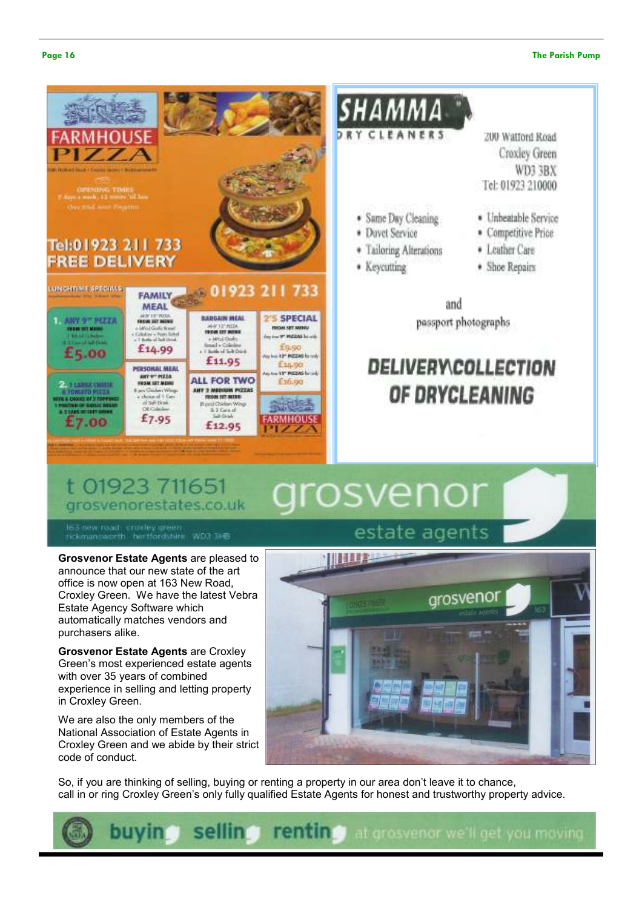### Page 16 The Parish Pump and the Parish Pump and the Parish Pump and the Parish Pump and the Parish Pump and the Parish Pump and the Parish Pump and the Parish Pump and the Parish Pump and the Parish Pump and the Parish Pum



### t 01923 711651 grosvenor grosvenorestates.co.uk

163 new road crocley green<br>rickmansworth bertfordshire WD3 3HB

Grosvenor Estate Agents are pleased to announce that our new state of the art office is now open at 163 New Road, Croxley Green. We have the latest Vebra Estate Agency Software which automatically matches vendors and purchasers alike.

Grosvenor Estate Agents are Croxley Green's most experienced estate agents with over 35 years of combined experience in selling and letting property in Croxley Green.

We are also the only members of the National Association of Estate Agents in Croxley Green and we abide by their strict code of conduct.

# **THULLE** arosveno

So, if you are thinking of selling, buying or renting a property in our area don't leave it to chance, call in or ring Croxley Green's only fully qualified Estate Agents for honest and trustworthy property advice.



# estate agents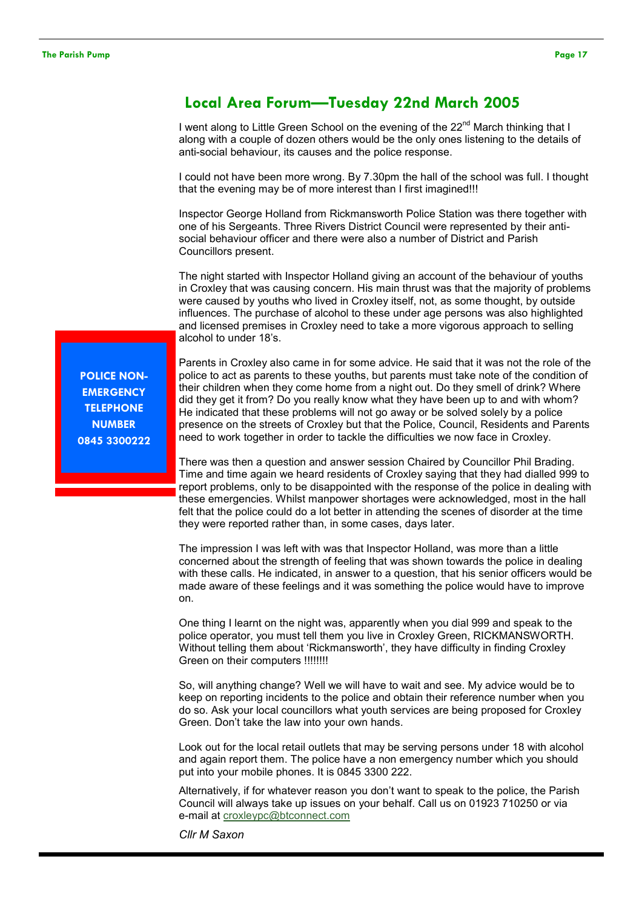# Local Area Forum—Tuesday 22nd March 2005

I went along to Little Green School on the evening of the  $22<sup>nd</sup>$  March thinking that I along with a couple of dozen others would be the only ones listening to the details of anti-social behaviour, its causes and the police response.

I could not have been more wrong. By 7.30pm the hall of the school was full. I thought that the evening may be of more interest than I first imagined!!!

Inspector George Holland from Rickmansworth Police Station was there together with one of his Sergeants. Three Rivers District Council were represented by their antisocial behaviour officer and there were also a number of District and Parish Councillors present.

The night started with Inspector Holland giving an account of the behaviour of youths in Croxley that was causing concern. His main thrust was that the majority of problems were caused by youths who lived in Croxley itself, not, as some thought, by outside influences. The purchase of alcohol to these under age persons was also highlighted and licensed premises in Croxley need to take a more vigorous approach to selling alcohol to under 18's.

POLICE NON-**EMERGENCY TELEPHONE NUMBER** 0845 3300222

Parents in Croxley also came in for some advice. He said that it was not the role of the police to act as parents to these youths, but parents must take note of the condition of their children when they come home from a night out. Do they smell of drink? Where did they get it from? Do you really know what they have been up to and with whom? He indicated that these problems will not go away or be solved solely by a police presence on the streets of Croxley but that the Police, Council, Residents and Parents need to work together in order to tackle the difficulties we now face in Croxley.

There was then a question and answer session Chaired by Councillor Phil Brading. Time and time again we heard residents of Croxley saying that they had dialled 999 to report problems, only to be disappointed with the response of the police in dealing with these emergencies. Whilst manpower shortages were acknowledged, most in the hall felt that the police could do a lot better in attending the scenes of disorder at the time they were reported rather than, in some cases, days later.

The impression I was left with was that Inspector Holland, was more than a little concerned about the strength of feeling that was shown towards the police in dealing with these calls. He indicated, in answer to a question, that his senior officers would be made aware of these feelings and it was something the police would have to improve on.

One thing I learnt on the night was, apparently when you dial 999 and speak to the police operator, you must tell them you live in Croxley Green, RICKMANSWORTH. Without telling them about 'Rickmansworth', they have difficulty in finding Croxley Green on their computers !!!!!!!!!

So, will anything change? Well we will have to wait and see. My advice would be to keep on reporting incidents to the police and obtain their reference number when you do so. Ask your local councillors what youth services are being proposed for Croxley Green. Don't take the law into your own hands.

Look out for the local retail outlets that may be serving persons under 18 with alcohol and again report them. The police have a non emergency number which you should put into your mobile phones. It is 0845 3300 222.

Alternatively, if for whatever reason you don't want to speak to the police, the Parish Council will always take up issues on your behalf. Call us on 01923 710250 or via e-mail at croxleypc@btconnect.com

Cllr M Saxon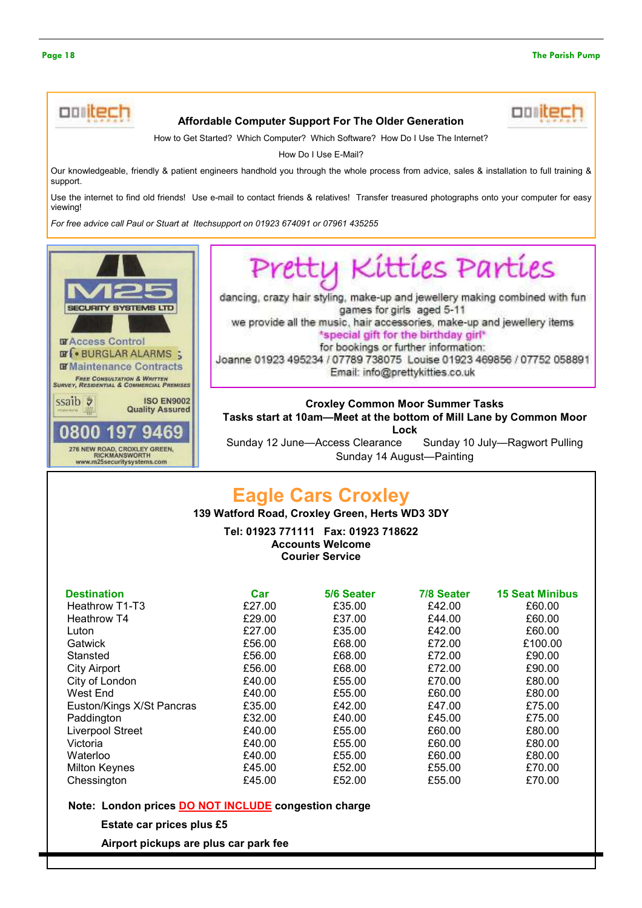

### Affordable Computer Support For The Older Generation

How to Get Started? Which Computer? Which Software? How Do I Use The Internet?

How Do I Use E-Mail?

Our knowledgeable, friendly & patient engineers handhold you through the whole process from advice, sales & installation to full training & support.

Use the internet to find old friends! Use e-mail to contact friends & relatives! Transfer treasured photographs onto your computer for easy viewing!

For free advice call Paul or Stuart at Itechsupport on 01923 674091 or 07961 435255



Pretty Kitties Parties

dancing, crazy hair styling, make-up and jewellery making combined with fun games for girls aged 5-11 we provide all the music, hair accessories, make-up and jewellery items

\*special gift for the birthday girl\* for bookings or further information:

Joanne 01923 495234 / 07789 738075 Louise 01923 469856 / 07752 058891 Email: info@prettykitties.co.uk

# Croxley Common Moor Summer Tasks Tasks start at 10am—Meet at the bottom of Mill Lane by Common Moor Lock

Sunday 12 June—Access Clearance Sunday 10 July—Ragwort Pulling Sunday 14 August—Painting

# Eagle Cars Croxley

139 Watford Road, Croxley Green, Herts WD3 3DY

Tel: 01923 771111 Fax: 01923 718622 Accounts Welcome Courier Service

| <b>Destination</b>        | Car    | 5/6 Seater | 7/8 Seater | <b>15 Seat Minibus</b> |
|---------------------------|--------|------------|------------|------------------------|
| Heathrow T1-T3            | £27.00 | £35.00     | £42.00     | £60.00                 |
| Heathrow T4               | £29.00 | £37.00     | £44.00     | £60.00                 |
| Luton                     | £27.00 | £35.00     | £42.00     | £60.00                 |
| Gatwick                   | £56.00 | £68.00     | £72.00     | £100.00                |
| Stansted                  | £56.00 | £68.00     | £72.00     | £90.00                 |
| <b>City Airport</b>       | £56.00 | £68.00     | £72.00     | £90.00                 |
| City of London            | £40.00 | £55.00     | £70.00     | £80.00                 |
| West End                  | £40.00 | £55.00     | £60.00     | £80.00                 |
| Euston/Kings X/St Pancras | £35.00 | £42.00     | £47.00     | £75.00                 |
| Paddington                | £32.00 | £40.00     | £45.00     | £75.00                 |
| Liverpool Street          | £40.00 | £55.00     | £60.00     | £80.00                 |
| Victoria                  | £40.00 | £55.00     | £60.00     | £80.00                 |
| Waterloo                  | £40.00 | £55.00     | £60.00     | £80.00                 |
| <b>Milton Keynes</b>      | £45.00 | £52.00     | £55.00     | £70.00                 |
| Chessington               | £45.00 | £52.00     | £55.00     | £70.00                 |
|                           |        |            |            |                        |

### Note: London prices DO NOT INCLUDE congestion charge

Estate car prices plus £5

Airport pickups are plus car park fee

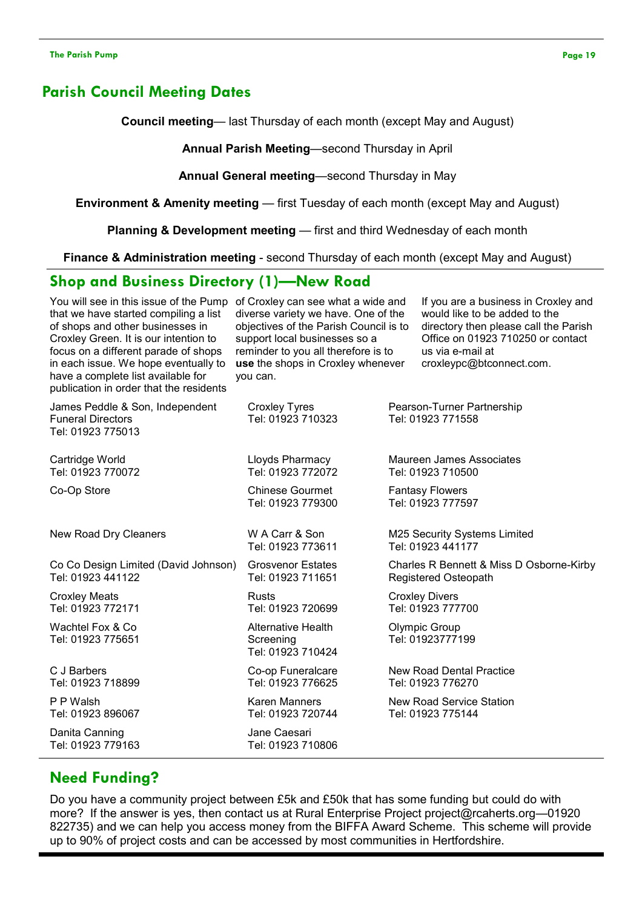# Parish Council Meeting Dates

Council meeting— last Thursday of each month (except May and August)

Annual Parish Meeting—second Thursday in April

Annual General meeting—second Thursday in May

Environment & Amenity meeting — first Tuesday of each month (except May and August)

Planning & Development meeting — first and third Wednesday of each month

Finance & Administration meeting - second Thursday of each month (except May and August)

# Shop and Business Directory (1)—New Road

| You will see in this issue of the Pump<br>that we have started compiling a list<br>of shops and other businesses in<br>Croxley Green. It is our intention to<br>focus on a different parade of shops<br>in each issue. We hope eventually to<br>have a complete list available for<br>publication in order that the residents | of Croxley can see what a wide and<br>diverse variety we have. One of the<br>objectives of the Parish Council is to<br>support local businesses so a<br>reminder to you all therefore is to<br>use the shops in Croxley whenever<br>you can. | would like to be added to the<br>us via e-mail at<br>croxleypc@btconnect.com. | If you are a business in Croxley and<br>directory then please call the Parish<br>Office on 01923 710250 or contact |
|-------------------------------------------------------------------------------------------------------------------------------------------------------------------------------------------------------------------------------------------------------------------------------------------------------------------------------|----------------------------------------------------------------------------------------------------------------------------------------------------------------------------------------------------------------------------------------------|-------------------------------------------------------------------------------|--------------------------------------------------------------------------------------------------------------------|
| James Peddle & Son, Independent<br><b>Funeral Directors</b><br>Tel: 01923 775013                                                                                                                                                                                                                                              | <b>Croxley Tyres</b><br>Tel: 01923 710323                                                                                                                                                                                                    | Pearson-Turner Partnership<br>Tel: 01923 771558                               |                                                                                                                    |
| Cartridge World<br>Tel: 01923 770072                                                                                                                                                                                                                                                                                          | Lloyds Pharmacy<br>Tel: 01923 772072                                                                                                                                                                                                         | <b>Maureen James Associates</b><br>Tel: 01923 710500                          |                                                                                                                    |
| Co-Op Store                                                                                                                                                                                                                                                                                                                   | <b>Chinese Gourmet</b><br>Tel: 01923 779300                                                                                                                                                                                                  | <b>Fantasy Flowers</b><br>Tel: 01923 777597                                   |                                                                                                                    |
| New Road Dry Cleaners                                                                                                                                                                                                                                                                                                         | W A Carr & Son<br>Tel: 01923 773611                                                                                                                                                                                                          | M25 Security Systems Limited<br>Tel: 01923 441177                             |                                                                                                                    |
| Co Co Design Limited (David Johnson)<br>Tel: 01923 441122                                                                                                                                                                                                                                                                     | <b>Grosvenor Estates</b><br>Tel: 01923 711651                                                                                                                                                                                                | Charles R Bennett & Miss D Osborne-Kirby<br>Registered Osteopath              |                                                                                                                    |
| <b>Croxley Meats</b><br>Tel: 01923 772171                                                                                                                                                                                                                                                                                     | <b>Rusts</b><br>Tel: 01923 720699                                                                                                                                                                                                            | <b>Croxley Divers</b><br>Tel: 01923 777700                                    |                                                                                                                    |
| Wachtel Fox & Co<br>Tel: 01923 775651                                                                                                                                                                                                                                                                                         | Alternative Health<br>Screening<br>Tel: 01923 710424                                                                                                                                                                                         | Olympic Group<br>Tel: 01923777199                                             |                                                                                                                    |
| C J Barbers<br>Tel: 01923 718899                                                                                                                                                                                                                                                                                              | Co-op Funeralcare<br>New Road Dental Practice<br>Tel: 01923 776625<br>Tel: 01923 776270                                                                                                                                                      |                                                                               |                                                                                                                    |
| P P Walsh<br>Tel: 01923 896067                                                                                                                                                                                                                                                                                                | Karen Manners<br>Tel: 01923 720744                                                                                                                                                                                                           | <b>New Road Service Station</b><br>Tel: 01923 775144                          |                                                                                                                    |
| Danita Canning<br>Tel: 01923 779163                                                                                                                                                                                                                                                                                           | Jane Caesari<br>Tel: 01923 710806                                                                                                                                                                                                            |                                                                               |                                                                                                                    |

# Need Funding?

Do you have a community project between £5k and £50k that has some funding but could do with more? If the answer is yes, then contact us at Rural Enterprise Project project@rcaherts.org—01920 822735) and we can help you access money from the BIFFA Award Scheme. This scheme will provide up to 90% of project costs and can be accessed by most communities in Hertfordshire.